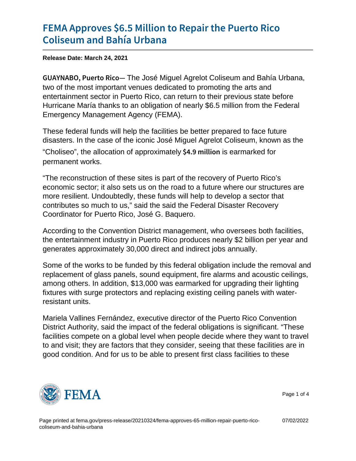## [FEMA Approves \\$6.5 Million to R](https://www.fema.gov/press-release/20210324/fema-approves-65-million-repair-puerto-rico-coliseum-and-bahia-urbana)epair the [Coliseum and Ba](https://www.fema.gov/press-release/20210324/fema-approves-65-million-repair-puerto-rico-coliseum-and-bahia-urbana)hía Urbana

Release Date: March 24, 2021

GUAYNABO, PuerFithe José iManuel Agrelot Coliseum and Bahía Urbana, two of the most important venues dedicated to promoting the arts and entertainment sector in Puerto Rico, can return to their previous state before Hurricane María thanks to an obligation of nearly \$6.5 million from the Federal Emergency Management Agency (FEMA).

These federal funds will help the facilities be better prepared to face future disasters. In the case of the iconic José Miguel Agrelot Coliseum, known as the "Choliseo", the allocation of approximately  $$4.9$  m iible armarked for permanent works.

"The reconstruction of these sites is part of the recovery of Puerto Rico's economic sector; it also sets us on the road to a future where our structures are more resilient. Undoubtedly, these funds will help to develop a sector that contributes so much to us," said the said the Federal Disaster Recovery Coordinator for Puerto Rico, José G. Baquero.

According to the Convention District management, who oversees both facilities, the entertainment industry in Puerto Rico produces nearly \$2 billion per year and generates approximately 30,000 direct and indirect jobs annually.

Some of the works to be funded by this federal obligation include the removal and replacement of glass panels, sound equipment, fire alarms and acoustic ceilings, among others. In addition, \$13,000 was earmarked for upgrading their lighting fixtures with surge protectors and replacing existing ceiling panels with waterresistant units.

Mariela Vallines Fernández, executive director of the Puerto Rico Convention District Authority, said the impact of the federal obligations is significant. "These facilities compete on a global level when people decide where they want to travel to and visit; they are factors that they consider, seeing that these facilities are in good condition. And for us to be able to present first class facilities to these



Page 1 of 4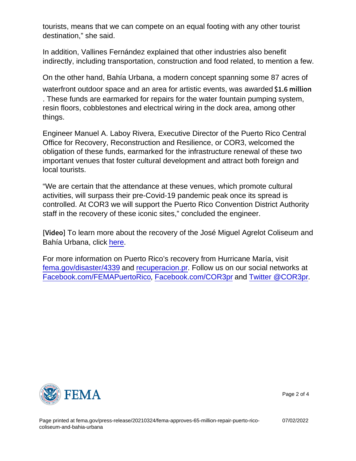tourists, means that we can compete on an equal footing with any other tourist destination," she said.

In addition, Vallines Fernández explained that other industries also benefit indirectly, including transportation, construction and food related, to mention a few.

On the other hand, Bahía Urbana, a modern concept spanning some 87 acres of waterfront outdoor space and an area for artistic events, was awarded \$1.6 million

. These funds are earmarked for repairs for the water fountain pumping system, resin floors, cobblestones and electrical wiring in the dock area, among other things.

Engineer Manuel A. Laboy Rivera, Executive Director of the Puerto Rico Central Office for Recovery, Reconstruction and Resilience, or COR3, welcomed the obligation of these funds, earmarked for the infrastructure renewal of these two important venues that foster cultural development and attract both foreign and local tourists.

"We are certain that the attendance at these venues, which promote cultural activities, will surpass their pre-Covid-19 pandemic peak once its spread is controlled. At COR3 we will support the Puerto Rico Convention District Authority staff in the recovery of these iconic sites," concluded the engineer.

[V i d **e**] Jearn more about the recovery of the José Miguel Agrelot Coliseum and Bahía Urbana, click [here](https://urldefense.us/v3/__https:/fema.ravnur.com/PublicPage/video/2514.aspx__;!!BClRuOV5cvtbuNI!UGM43DbxbjZWjTmrQnZ2AScpRcS77VuRzh372pxTd-B5_OVKDLftnFDwpT9AVFDglzHq5LqSnSkgu9Y$).

For more information on Puerto Rico's recovery from Hurricane María, visit [fema.gov/disaster/4339](http://www.fema.gov/disaster/4339) and [recuperacion.pr.](http://www.recuperacion.pr/) Follow us on our social networks at [Facebook.com/FEMAPuertoRico](http://www.facebook.com/FEMAPuertoRico), [Facebook.com/COR3pr](http://www.facebook.com/COR3pr) and [Twitter @COR3pr.](https://twitter.com/cor3pr)



Page 2 of 4

Page printed at [fema.gov/press-release/20210324/fema-approves-65-million-repair-puerto-rico](https://www.fema.gov/press-release/20210324/fema-approves-65-million-repair-puerto-rico-coliseum-and-bahia-urbana)[coliseum-and-bahia-urbana](https://www.fema.gov/press-release/20210324/fema-approves-65-million-repair-puerto-rico-coliseum-and-bahia-urbana)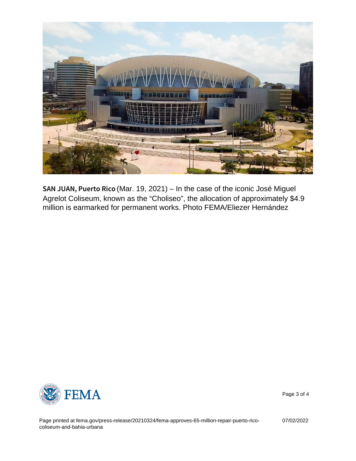$SAN$  JUAN, Pu(Mart. d 9, R2021) – In the case of the iconic José Miguel Agrelot Coliseum, known as the "Choliseo", the allocation of approximately \$4.9 million is earmarked for permanent works. Photo FEMA/Eliezer Hernández



Page 3 of 4

Page printed at [fema.gov/press-release/20210324/fema-approves-65-million-repair-puerto-rico](https://www.fema.gov/press-release/20210324/fema-approves-65-million-repair-puerto-rico-coliseum-and-bahia-urbana)[coliseum-and-bahia-urbana](https://www.fema.gov/press-release/20210324/fema-approves-65-million-repair-puerto-rico-coliseum-and-bahia-urbana)

07/02/2022